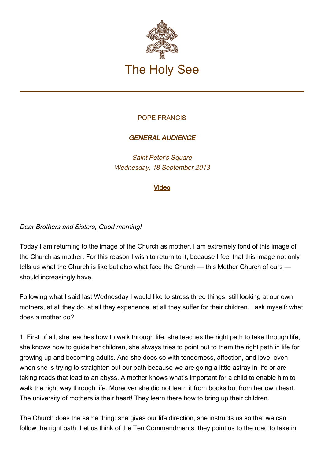

# POPE FRANCIS

## GENERAL AUDIENCE

Saint Peter's Square Wednesday, 18 September 2013

#### [Video](http://player.rv.va/vaticanplayer.asp?language=it&tic=VA_P54PHBNS)

Dear Brothers and Sisters, Good morning!

Today I am returning to the image of the Church as mother. I am extremely fond of this image of the Church as mother. For this reason I wish to return to it, because I feel that this image not only tells us what the Church is like but also what face the Church — this Mother Church of ours should increasingly have.

Following what I said last Wednesday I would like to stress three things, still looking at our own mothers, at all they do, at all they experience, at all they suffer for their children. I ask myself: what does a mother do?

1. First of all, she teaches how to walk through life, she teaches the right path to take through life, she knows how to guide her children, she always tries to point out to them the right path in life for growing up and becoming adults. And she does so with tenderness, affection, and love, even when she is trying to straighten out our path because we are going a little astray in life or are taking roads that lead to an abyss. A mother knows what's important for a child to enable him to walk the right way through life. Moreover she did not learn it from books but from her own heart. The university of mothers is their heart! They learn there how to bring up their children.

The Church does the same thing: she gives our life direction, she instructs us so that we can follow the right path. Let us think of the Ten Commandments: they point us to the road to take in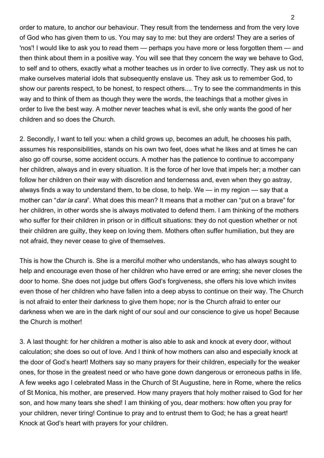order to mature, to anchor our behaviour. They result from the tenderness and from the very love of God who has given them to us. You may say to me: but they are orders! They are a series of 'nos'! I would like to ask you to read them — perhaps you have more or less forgotten them — and then think about them in a positive way. You will see that they concern the way we behave to God, to self and to others, exactly what a mother teaches us in order to live correctly. They ask us not to make ourselves material idols that subsequently enslave us. They ask us to remember God, to show our parents respect, to be honest, to respect others.... Try to see the commandments in this way and to think of them as though they were the words, the teachings that a mother gives in order to live the best way. A mother never teaches what is evil, she only wants the good of her children and so does the Church.

2. Secondly, I want to tell you: when a child grows up, becomes an adult, he chooses his path, assumes his responsibilities, stands on his own two feet, does what he likes and at times he can also go off course, some accident occurs. A mother has the patience to continue to accompany her children, always and in every situation. It is the force of her love that impels her; a mother can follow her children on their way with discretion and tenderness and, even when they go astray, always finds a way to understand them, to be close, to help. We — in my region — say that a mother can "*dar la cara*". What does this mean? It means that a mother can "put on a brave" for her children, in other words she is always motivated to defend them. I am thinking of the mothers who suffer for their children in prison or in difficult situations: they do not question whether or not their children are guilty, they keep on loving them. Mothers often suffer humiliation, but they are not afraid, they never cease to give of themselves.

This is how the Church is. She is a merciful mother who understands, who has always sought to help and encourage even those of her children who have erred or are erring; she never closes the door to home. She does not judge but offers God's forgiveness, she offers his love which invites even those of her children who have fallen into a deep abyss to continue on their way. The Church is not afraid to enter their darkness to give them hope; nor is the Church afraid to enter our darkness when we are in the dark night of our soul and our conscience to give us hope! Because the Church is mother!

3. A last thought: for her children a mother is also able to ask and knock at every door, without calculation; she does so out of love. And I think of how mothers can also and especially knock at the door of God's heart! Mothers say so many prayers for their children, especially for the weaker ones, for those in the greatest need or who have gone down dangerous or erroneous paths in life. A few weeks ago I celebrated Mass in the Church of St Augustine, here in Rome, where the relics of St Monica, his mother, are preserved. How many prayers that holy mother raised to God for her son, and how many tears she shed! I am thinking of you, dear mothers: how often you pray for your children, never tiring! Continue to pray and to entrust them to God; he has a great heart! Knock at God's heart with prayers for your children.